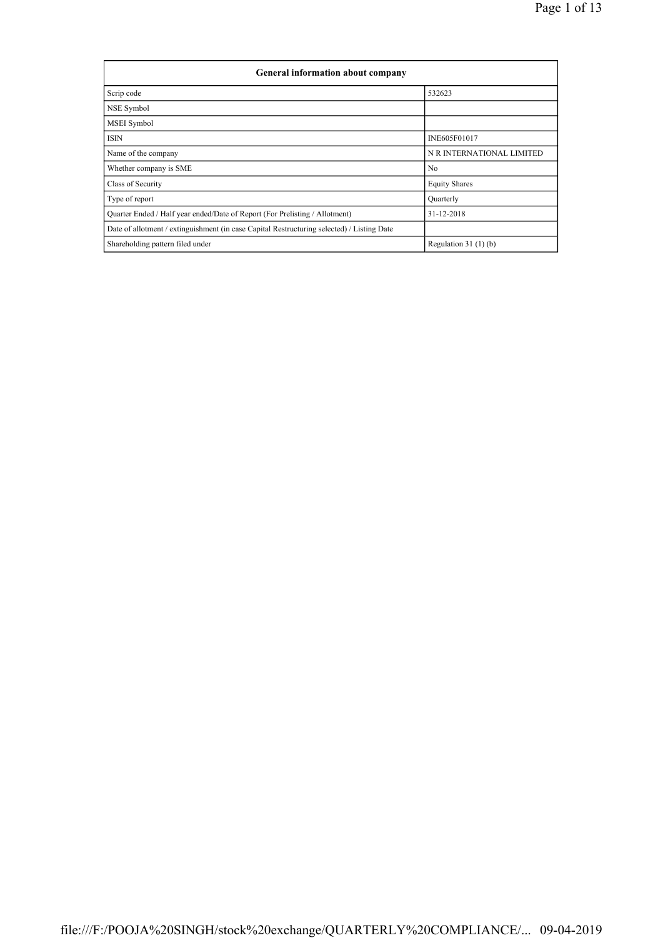| General information about company                                                          |                           |  |  |  |  |  |
|--------------------------------------------------------------------------------------------|---------------------------|--|--|--|--|--|
| Scrip code                                                                                 | 532623                    |  |  |  |  |  |
| NSE Symbol                                                                                 |                           |  |  |  |  |  |
| MSEI Symbol                                                                                |                           |  |  |  |  |  |
| ISIN                                                                                       | INE605F01017              |  |  |  |  |  |
| Name of the company                                                                        | N R INTERNATIONAL LIMITED |  |  |  |  |  |
| Whether company is SME                                                                     | No                        |  |  |  |  |  |
| Class of Security                                                                          | <b>Equity Shares</b>      |  |  |  |  |  |
| Type of report                                                                             | Quarterly                 |  |  |  |  |  |
| Quarter Ended / Half year ended/Date of Report (For Prelisting / Allotment)                | 31-12-2018                |  |  |  |  |  |
| Date of allotment / extinguishment (in case Capital Restructuring selected) / Listing Date |                           |  |  |  |  |  |
| Shareholding pattern filed under                                                           | Regulation $31(1)(b)$     |  |  |  |  |  |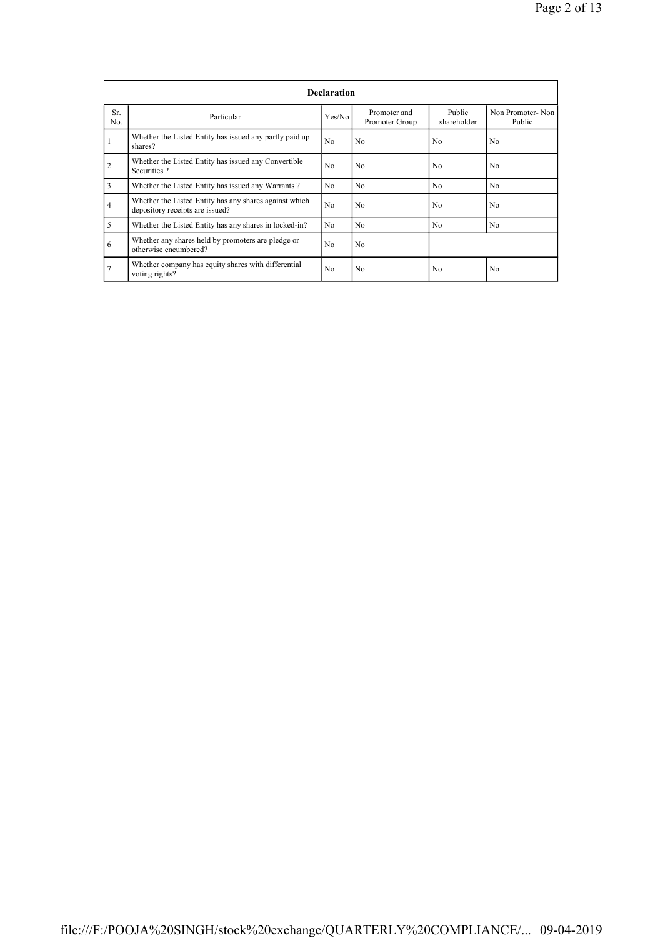|                | <b>Declaration</b>                                                                        |                |                                |                       |                            |  |  |  |  |  |
|----------------|-------------------------------------------------------------------------------------------|----------------|--------------------------------|-----------------------|----------------------------|--|--|--|--|--|
| Sr.<br>No.     | Particular                                                                                | Yes/No         | Promoter and<br>Promoter Group | Public<br>shareholder | Non Promoter-Non<br>Public |  |  |  |  |  |
| $\mathbf{1}$   | Whether the Listed Entity has issued any partly paid up<br>shares?                        | No.            | N <sub>0</sub>                 | N <sub>0</sub>        | N <sub>0</sub>             |  |  |  |  |  |
| $\overline{2}$ | Whether the Listed Entity has issued any Convertible<br>Securities?                       | No             | N <sub>0</sub>                 | N <sub>0</sub>        | N <sub>0</sub>             |  |  |  |  |  |
| 3              | Whether the Listed Entity has issued any Warrants?                                        | No.            | N <sub>0</sub>                 | N <sub>0</sub>        | N <sub>0</sub>             |  |  |  |  |  |
| $\overline{4}$ | Whether the Listed Entity has any shares against which<br>depository receipts are issued? | No             | N <sub>0</sub>                 | N <sub>0</sub>        | N <sub>0</sub>             |  |  |  |  |  |
| 5              | Whether the Listed Entity has any shares in locked-in?                                    | N <sub>0</sub> | N <sub>0</sub>                 | N <sub>0</sub>        | N <sub>0</sub>             |  |  |  |  |  |
| 6              | Whether any shares held by promoters are pledge or<br>otherwise encumbered?               | No             | N <sub>0</sub>                 |                       |                            |  |  |  |  |  |
| 7              | Whether company has equity shares with differential<br>voting rights?                     | No             | N <sub>0</sub>                 | No                    | No                         |  |  |  |  |  |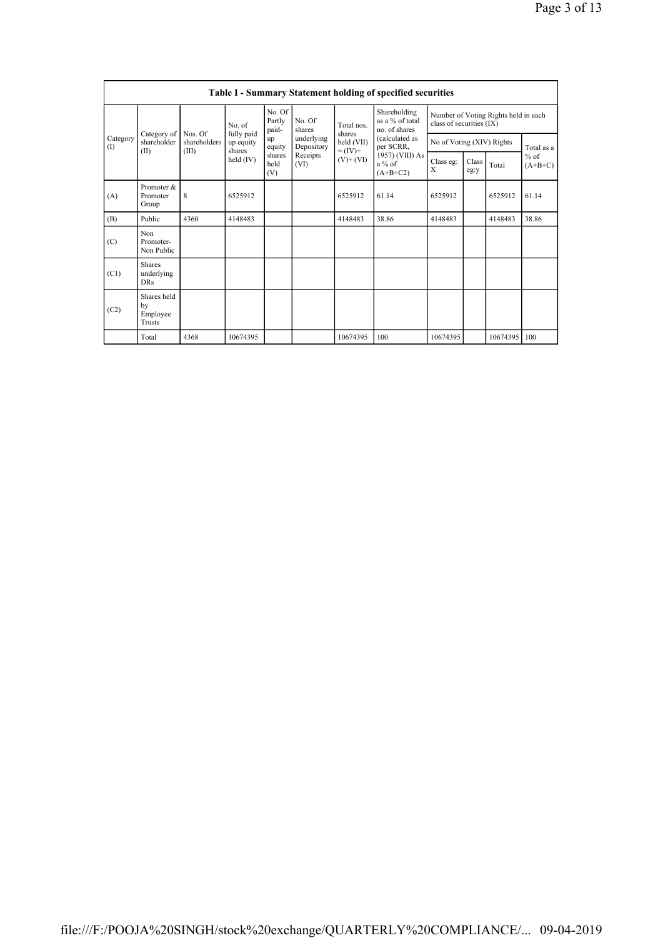| Table I - Summary Statement holding of specified securities |                                         |              |                         |                           |                                                                                                                         |                                    |                                                                                   |                                                                  |  |          |            |
|-------------------------------------------------------------|-----------------------------------------|--------------|-------------------------|---------------------------|-------------------------------------------------------------------------------------------------------------------------|------------------------------------|-----------------------------------------------------------------------------------|------------------------------------------------------------------|--|----------|------------|
|                                                             |                                         | Nos. Of      | No. of                  | No. Of<br>Partly<br>paid- | No. Of<br>shares                                                                                                        | Total nos.<br>shares<br>held (VII) | Shareholding<br>as a $%$ of total<br>no. of shares<br>(calculated as<br>per SCRR, | Number of Voting Rights held in each<br>class of securities (IX) |  |          |            |
| Category<br>(I)<br>(II)                                     | Category of<br>shareholder              | shareholders | fully paid<br>up equity | up<br>equity              | underlying<br>Depository                                                                                                |                                    |                                                                                   | No of Voting (XIV) Rights                                        |  |          | Total as a |
|                                                             |                                         | (III)        | shares<br>held (IV)     | shares<br>held<br>(V)     | $= (IV) +$<br>1957) (VIII) As<br>Receipts<br>$(V)$ + $(VI)$<br>Class eg:<br>$a\%$ of<br>(VI)<br>X<br>eg:y<br>$(A+B+C2)$ | Class                              | Total                                                                             | $%$ of<br>$(A+B+C)$                                              |  |          |            |
| (A)                                                         | Promoter &<br>Promoter<br>Group         | 8            | 6525912                 |                           |                                                                                                                         | 6525912                            | 61.14                                                                             | 6525912                                                          |  | 6525912  | 61.14      |
| (B)                                                         | Public                                  | 4360         | 4148483                 |                           |                                                                                                                         | 4148483                            | 38.86                                                                             | 4148483                                                          |  | 4148483  | 38.86      |
| (C)                                                         | Non<br>Promoter-<br>Non Public          |              |                         |                           |                                                                                                                         |                                    |                                                                                   |                                                                  |  |          |            |
| (C1)                                                        | Shares<br>underlying<br><b>DRs</b>      |              |                         |                           |                                                                                                                         |                                    |                                                                                   |                                                                  |  |          |            |
| (C2)                                                        | Shares held<br>bv<br>Employee<br>Trusts |              |                         |                           |                                                                                                                         |                                    |                                                                                   |                                                                  |  |          |            |
|                                                             | Total                                   | 4368         | 10674395                |                           |                                                                                                                         | 10674395                           | 100                                                                               | 10674395                                                         |  | 10674395 | 100        |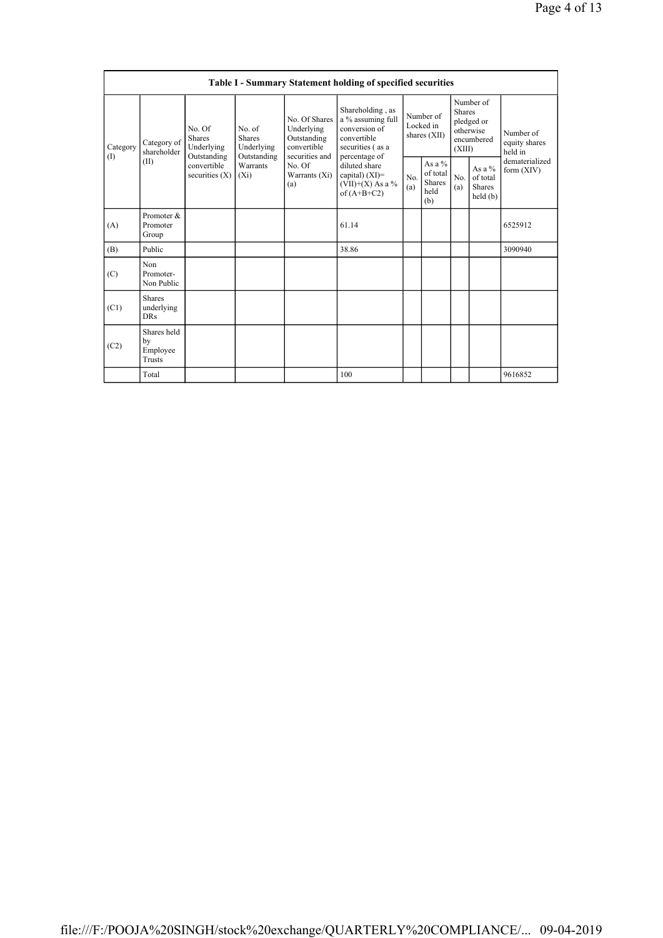| <b>Table I - Summary Statement holding of specified securities</b> |                                                |                                                      |                                                                             |                                                                             |                                                                                            |            |                                                    |            |                                                                               |                                       |
|--------------------------------------------------------------------|------------------------------------------------|------------------------------------------------------|-----------------------------------------------------------------------------|-----------------------------------------------------------------------------|--------------------------------------------------------------------------------------------|------------|----------------------------------------------------|------------|-------------------------------------------------------------------------------|---------------------------------------|
| Category<br>(1)                                                    | Category of<br>shareholder<br>(II)             | No. Of<br><b>Shares</b><br>Underlying<br>Outstanding | No. of<br><b>Shares</b><br>Underlying<br>Outstanding<br>Warrants<br>$(X_i)$ | No. Of Shares<br>Underlying<br>Outstanding<br>convertible<br>securities and | Shareholding, as<br>a % assuming full<br>conversion of<br>convertible<br>securities (as a  |            | Number of<br>Locked in<br>shares (XII)             |            | Number of<br><b>Shares</b><br>pledged or<br>otherwise<br>encumbered<br>(XIII) | Number of<br>equity shares<br>held in |
|                                                                    |                                                | convertible<br>securities $(X)$                      |                                                                             | No. Of<br>Warrants (Xi)<br>(a)                                              | percentage of<br>diluted share<br>capital) $(XI)$ =<br>$(VII)+(X)$ As a %<br>of $(A+B+C2)$ | No.<br>(a) | As a %<br>of total<br><b>Shares</b><br>held<br>(b) | No.<br>(a) | As a $%$<br>of total<br><b>Shares</b><br>held(b)                              | dematerialized<br>form (XIV)          |
| (A)                                                                | Promoter &<br>Promoter<br>Group                |                                                      |                                                                             |                                                                             | 61.14                                                                                      |            |                                                    |            |                                                                               | 6525912                               |
| (B)                                                                | Public                                         |                                                      |                                                                             |                                                                             | 38.86                                                                                      |            |                                                    |            |                                                                               | 3090940                               |
| (C)                                                                | Non<br>Promoter-<br>Non Public                 |                                                      |                                                                             |                                                                             |                                                                                            |            |                                                    |            |                                                                               |                                       |
| (C1)                                                               | <b>Shares</b><br>underlying<br><b>DRs</b>      |                                                      |                                                                             |                                                                             |                                                                                            |            |                                                    |            |                                                                               |                                       |
| (C2)                                                               | Shares held<br>by<br>Employee<br><b>Trusts</b> |                                                      |                                                                             |                                                                             |                                                                                            |            |                                                    |            |                                                                               |                                       |
|                                                                    | Total                                          |                                                      |                                                                             |                                                                             | 100                                                                                        |            |                                                    |            |                                                                               | 9616852                               |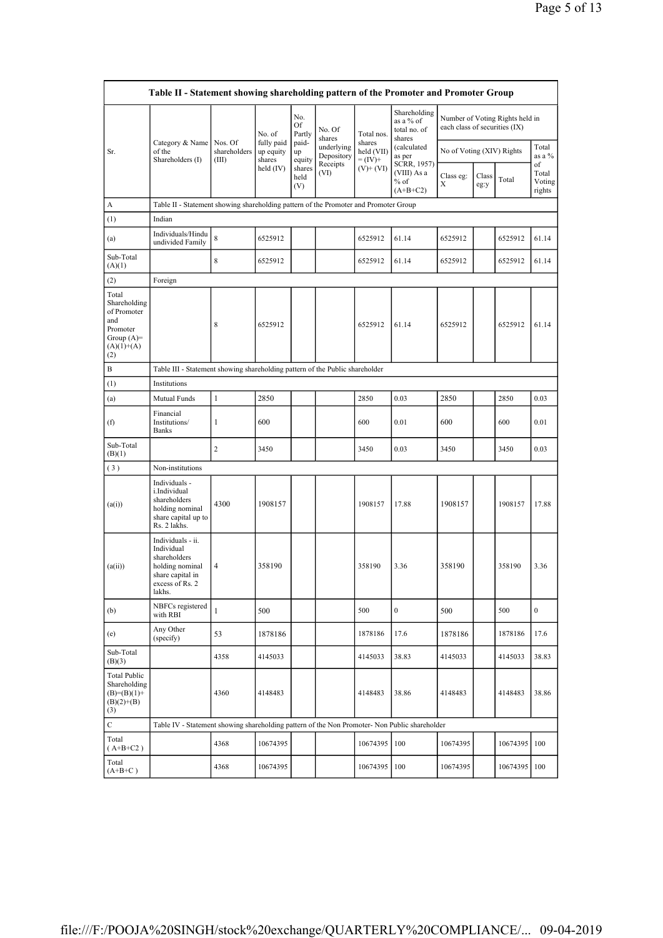| Table II - Statement showing shareholding pattern of the Promoter and Promoter Group           |                                                                                                                     |                                  |                                   |                       |                          |                                    |                                                                              |                               |               |                                 |                                 |
|------------------------------------------------------------------------------------------------|---------------------------------------------------------------------------------------------------------------------|----------------------------------|-----------------------------------|-----------------------|--------------------------|------------------------------------|------------------------------------------------------------------------------|-------------------------------|---------------|---------------------------------|---------------------------------|
|                                                                                                |                                                                                                                     |                                  | No. of                            | No.<br>Of<br>Partly   | No. Of<br>shares         | Total nos.                         | Shareholding<br>as a % of<br>total no. of<br>shares<br>(calculated<br>as per | each class of securities (IX) |               | Number of Voting Rights held in |                                 |
| Sr.                                                                                            | Category & Name<br>of the<br>Shareholders (I)                                                                       | Nos. Of<br>shareholders<br>(III) | fully paid<br>up equity<br>shares | paid-<br>up<br>equity | underlying<br>Depository | shares<br>held (VII)<br>$= (IV) +$ |                                                                              | No of Voting (XIV) Rights     |               |                                 | Total<br>as a %                 |
|                                                                                                |                                                                                                                     |                                  | held $(IV)$                       | shares<br>held<br>(V) | Receipts<br>(VI)         | $(V)$ + $(VI)$                     | SCRR, 1957)<br>(VIII) As a<br>$%$ of<br>$(A+B+C2)$                           | Class eg:<br>X                | Class<br>eg:y | Total                           | of<br>Total<br>Voting<br>rights |
| A                                                                                              | Table II - Statement showing shareholding pattern of the Promoter and Promoter Group                                |                                  |                                   |                       |                          |                                    |                                                                              |                               |               |                                 |                                 |
| (1)                                                                                            | Indian                                                                                                              |                                  |                                   |                       |                          |                                    |                                                                              |                               |               |                                 |                                 |
| (a)                                                                                            | Individuals/Hindu<br>undivided Family                                                                               | $\,$ 8 $\,$                      | 6525912                           |                       |                          | 6525912                            | 61.14                                                                        | 6525912                       |               | 6525912                         | 61.14                           |
| Sub-Total<br>(A)(1)                                                                            |                                                                                                                     | 8                                | 6525912                           |                       |                          | 6525912                            | 61.14                                                                        | 6525912                       |               | 6525912                         | 61.14                           |
| (2)                                                                                            | Foreign                                                                                                             |                                  |                                   |                       |                          |                                    |                                                                              |                               |               |                                 |                                 |
| Total<br>Shareholding<br>of Promoter<br>and<br>Promoter<br>Group $(A)=$<br>$(A)(1)+(A)$<br>(2) |                                                                                                                     | 8                                | 6525912                           |                       |                          | 6525912                            | 61.14                                                                        | 6525912                       |               | 6525912                         | 61.14                           |
| В                                                                                              | Table III - Statement showing shareholding pattern of the Public shareholder                                        |                                  |                                   |                       |                          |                                    |                                                                              |                               |               |                                 |                                 |
| (1)                                                                                            | Institutions                                                                                                        |                                  |                                   |                       |                          |                                    |                                                                              |                               |               |                                 |                                 |
| (a)                                                                                            | Mutual Funds                                                                                                        | $\mathbf{1}$                     | 2850                              |                       |                          | 2850                               | 0.03                                                                         | 2850                          |               | 2850                            | 0.03                            |
| (f)                                                                                            | Financial<br>Institutions/<br><b>Banks</b>                                                                          | 1                                | 600                               |                       |                          | 600                                | 0.01                                                                         | 600                           |               | 600                             | 0.01                            |
| Sub-Total<br>(B)(1)                                                                            |                                                                                                                     | 2                                | 3450                              |                       |                          | 3450                               | 0.03                                                                         | 3450                          |               | 3450                            | 0.03                            |
| (3)                                                                                            | Non-institutions                                                                                                    |                                  |                                   |                       |                          |                                    |                                                                              |                               |               |                                 |                                 |
| (a(i))                                                                                         | Individuals -<br>i.Individual<br>shareholders<br>holding nominal<br>share capital up to<br>Rs. 2 lakhs.             | 4300                             | 1908157                           |                       |                          | 1908157                            | 17.88                                                                        | 1908157                       |               | 1908157                         | 17.88                           |
| (a(ii))                                                                                        | Individuals - ii.<br>Individual<br>shareholders<br>holding nominal<br>share capital in<br>excess of Rs. 2<br>lakhs. | 4                                | 358190                            |                       |                          | 358190                             | 3.36                                                                         | 358190                        |               | 358190                          | 3.36                            |
| (b)                                                                                            | NBFCs registered<br>with RBI                                                                                        | $\mathbf{1}$                     | 500                               |                       |                          | 500                                | $\boldsymbol{0}$                                                             | 500                           |               | 500                             | $\mathbf{0}$                    |
| (e)                                                                                            | Any Other<br>(specify)                                                                                              | 53                               | 1878186                           |                       |                          | 1878186                            | 17.6                                                                         | 1878186                       |               | 1878186                         | 17.6                            |
| Sub-Total<br>(B)(3)                                                                            |                                                                                                                     | 4358                             | 4145033                           |                       |                          | 4145033                            | 38.83                                                                        | 4145033                       |               | 4145033                         | 38.83                           |
| <b>Total Public</b><br>Shareholding<br>$(B)=(B)(1)+$<br>$(B)(2)+(B)$<br>(3)                    |                                                                                                                     | 4360                             | 4148483                           |                       |                          | 4148483                            | 38.86                                                                        | 4148483                       |               | 4148483                         | 38.86                           |
| C                                                                                              | Table IV - Statement showing shareholding pattern of the Non Promoter- Non Public shareholder                       |                                  |                                   |                       |                          |                                    |                                                                              |                               |               |                                 |                                 |
| Total<br>$(A+B+C2)$                                                                            |                                                                                                                     | 4368                             | 10674395                          |                       |                          | 10674395                           | 100                                                                          | 10674395                      |               | 10674395                        | 100                             |
| Total<br>$(A+B+C)$                                                                             |                                                                                                                     | 4368                             | 10674395                          |                       |                          | 10674395                           | 100                                                                          | 10674395                      |               | 10674395                        | 100                             |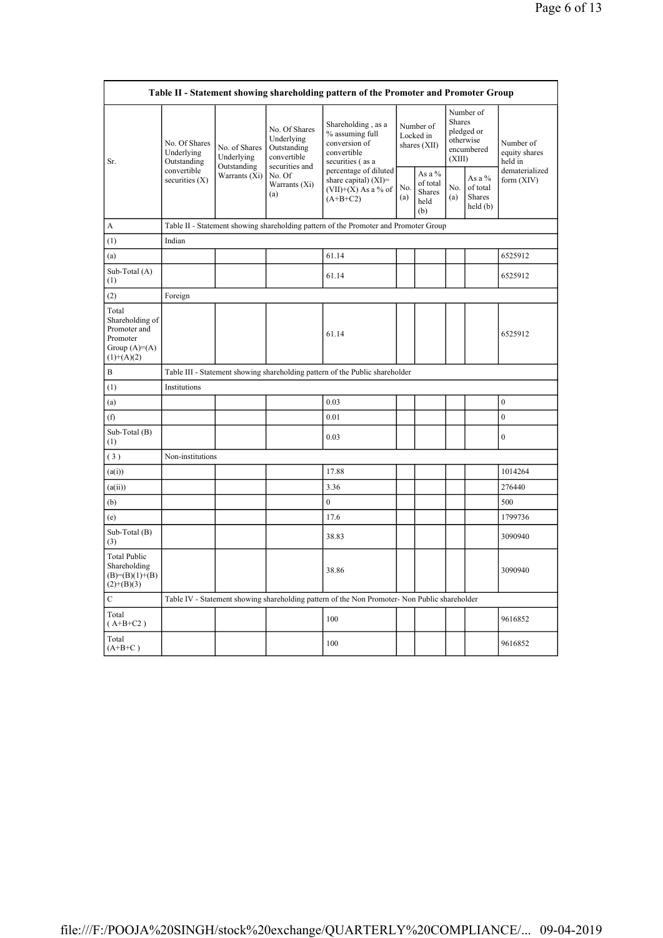| Table II - Statement showing shareholding pattern of the Promoter and Promoter Group   |                                                                               |                                            |                                                                                                               |                                                                                               |                                        |                                                    |                                                                               |                                         |                                       |
|----------------------------------------------------------------------------------------|-------------------------------------------------------------------------------|--------------------------------------------|---------------------------------------------------------------------------------------------------------------|-----------------------------------------------------------------------------------------------|----------------------------------------|----------------------------------------------------|-------------------------------------------------------------------------------|-----------------------------------------|---------------------------------------|
| Sr.                                                                                    | No. Of Shares<br>Underlying<br>Outstanding<br>convertible<br>securities $(X)$ | No. of Shares<br>Underlying<br>Outstanding | No. Of Shares<br>Underlying<br>Outstanding<br>convertible<br>securities and<br>No. Of<br>Warrants (Xi)<br>(a) | Shareholding, as a<br>% assuming full<br>conversion of<br>convertible<br>securities (as a     | Number of<br>Locked in<br>shares (XII) |                                                    | Number of<br><b>Shares</b><br>pledged or<br>otherwise<br>encumbered<br>(XIII) |                                         | Number of<br>equity shares<br>held in |
|                                                                                        |                                                                               | Warrants (Xi)                              |                                                                                                               | percentage of diluted<br>share capital) (XI)=<br>$(VII)+(X)$ As a % of<br>$(A+B+C2)$          | No.<br>(a)                             | As a %<br>of total<br><b>Shares</b><br>held<br>(b) | No.<br>(a)                                                                    | As a %<br>of total<br>Shares<br>held(b) | dematerialized<br>form (XIV)          |
| A                                                                                      |                                                                               |                                            |                                                                                                               | Table II - Statement showing shareholding pattern of the Promoter and Promoter Group          |                                        |                                                    |                                                                               |                                         |                                       |
| (1)                                                                                    | Indian                                                                        |                                            |                                                                                                               |                                                                                               |                                        |                                                    |                                                                               |                                         |                                       |
| (a)                                                                                    |                                                                               |                                            |                                                                                                               | 61.14                                                                                         |                                        |                                                    |                                                                               |                                         | 6525912                               |
| Sub-Total (A)<br>(1)                                                                   |                                                                               |                                            |                                                                                                               | 61.14                                                                                         |                                        |                                                    |                                                                               |                                         | 6525912                               |
| (2)                                                                                    | Foreign                                                                       |                                            |                                                                                                               |                                                                                               |                                        |                                                    |                                                                               |                                         |                                       |
| Total<br>Shareholding of<br>Promoter and<br>Promoter<br>Group $(A)=A)$<br>$(1)+(A)(2)$ |                                                                               |                                            |                                                                                                               | 61.14                                                                                         |                                        |                                                    |                                                                               |                                         | 6525912                               |
| B                                                                                      |                                                                               |                                            |                                                                                                               | Table III - Statement showing shareholding pattern of the Public shareholder                  |                                        |                                                    |                                                                               |                                         |                                       |
| (1)                                                                                    | Institutions                                                                  |                                            |                                                                                                               |                                                                                               |                                        |                                                    |                                                                               |                                         |                                       |
| (a)                                                                                    |                                                                               |                                            |                                                                                                               | 0.03                                                                                          |                                        |                                                    |                                                                               |                                         | $\boldsymbol{0}$                      |
| (f)                                                                                    |                                                                               |                                            |                                                                                                               | 0.01                                                                                          |                                        |                                                    |                                                                               |                                         | $\mathbf{0}$                          |
| Sub-Total (B)<br>(1)                                                                   |                                                                               |                                            |                                                                                                               | 0.03                                                                                          |                                        |                                                    |                                                                               |                                         | $\overline{0}$                        |
| (3)                                                                                    | Non-institutions                                                              |                                            |                                                                                                               |                                                                                               |                                        |                                                    |                                                                               |                                         |                                       |
| (a(i))                                                                                 |                                                                               |                                            |                                                                                                               | 17.88                                                                                         |                                        |                                                    |                                                                               |                                         | 1014264                               |
| (a(ii))                                                                                |                                                                               |                                            |                                                                                                               | 3.36                                                                                          |                                        |                                                    |                                                                               |                                         | 276440                                |
| (b)                                                                                    |                                                                               |                                            |                                                                                                               | $\overline{0}$                                                                                |                                        |                                                    |                                                                               |                                         | 500                                   |
| (e)                                                                                    |                                                                               |                                            |                                                                                                               | 17.6                                                                                          |                                        |                                                    |                                                                               |                                         | 1799736                               |
| Sub-Total (B)<br>(3)                                                                   |                                                                               |                                            |                                                                                                               | 38.83                                                                                         |                                        |                                                    |                                                                               |                                         | 3090940                               |
| <b>Total Public</b><br>Shareholding<br>$(B)=(B)(1)+(B)$<br>$(2)+(B)(3)$                |                                                                               |                                            |                                                                                                               | 38.86                                                                                         |                                        |                                                    |                                                                               |                                         | 3090940                               |
| $\mathbf C$                                                                            |                                                                               |                                            |                                                                                                               | Table IV - Statement showing shareholding pattern of the Non Promoter- Non Public shareholder |                                        |                                                    |                                                                               |                                         |                                       |
| Total<br>$(A+B+C2)$                                                                    |                                                                               |                                            |                                                                                                               | 100                                                                                           |                                        |                                                    |                                                                               |                                         | 9616852                               |
| Total<br>$(A+B+C)$                                                                     |                                                                               |                                            |                                                                                                               | 100                                                                                           |                                        |                                                    |                                                                               |                                         | 9616852                               |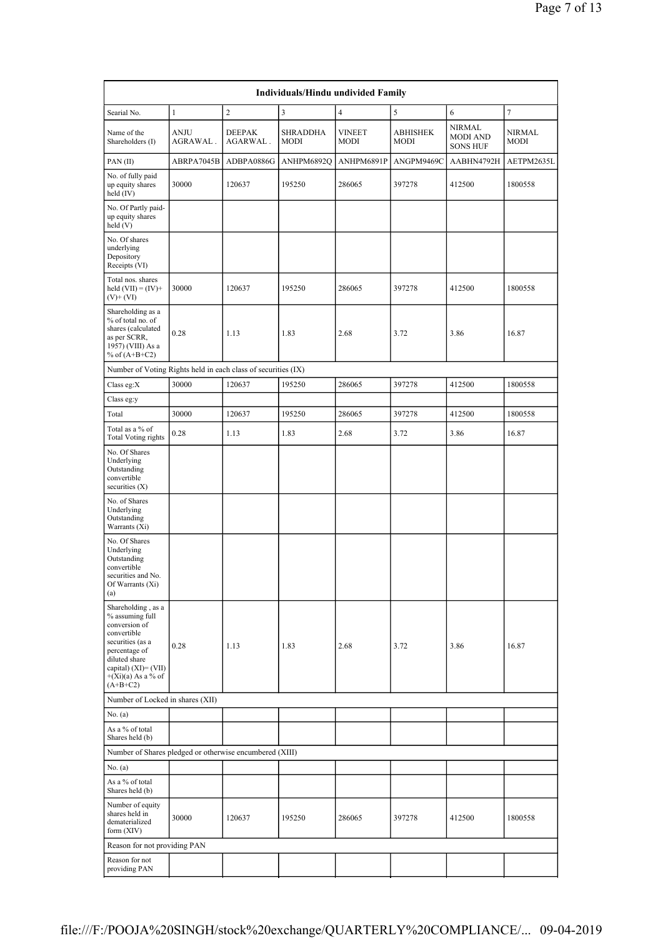| Individuals/Hindu undivided Family                                                                                                                                                         |                  |                    |                         |                       |                         |                                              |                |  |
|--------------------------------------------------------------------------------------------------------------------------------------------------------------------------------------------|------------------|--------------------|-------------------------|-----------------------|-------------------------|----------------------------------------------|----------------|--|
| Searial No.                                                                                                                                                                                | $\mathbf{1}$     | $\overline{c}$     | 3                       | $\overline{4}$        | 5                       | 6                                            | $\tau$         |  |
| Name of the<br>Shareholders (I)                                                                                                                                                            | ANJU<br>AGRAWAL. | DEEPAK<br>AGARWAL. | <b>SHRADDHA</b><br>MODI | <b>VINEET</b><br>MODI | <b>ABHISHEK</b><br>MODI | NIRMAL<br><b>MODI AND</b><br><b>SONS HUF</b> | NIRMAL<br>MODI |  |
| PAN (II)                                                                                                                                                                                   | ABRPA7045B       | ADBPA0886G         | ANHPM6892Q              | ANHPM6891P            | ANGPM9469C              | AABHN4792H                                   | AETPM2635L     |  |
| No. of fully paid<br>up equity shares<br>held (IV)                                                                                                                                         | 30000            | 120637             | 195250                  | 286065                | 397278                  | 412500                                       | 1800558        |  |
| No. Of Partly paid-<br>up equity shares<br>held (V)                                                                                                                                        |                  |                    |                         |                       |                         |                                              |                |  |
| No. Of shares<br>underlying<br>Depository<br>Receipts (VI)                                                                                                                                 |                  |                    |                         |                       |                         |                                              |                |  |
| Total nos. shares<br>held $(VII) = (IV) +$<br>$(V)$ + $(VI)$                                                                                                                               | 30000            | 120637             | 195250                  | 286065                | 397278                  | 412500                                       | 1800558        |  |
| Shareholding as a<br>% of total no. of<br>shares (calculated<br>as per SCRR,<br>1957) (VIII) As a<br>% of $(A+B+C2)$                                                                       | 0.28             | 1.13               | 1.83                    | 2.68                  | 3.72                    | 3.86                                         | 16.87          |  |
| Number of Voting Rights held in each class of securities (IX)                                                                                                                              |                  |                    |                         |                       |                         |                                              |                |  |
| Class eg: $X$                                                                                                                                                                              | 30000            | 120637             | 195250                  | 286065                | 397278                  | 412500                                       | 1800558        |  |
| Class eg:y                                                                                                                                                                                 |                  |                    |                         |                       |                         |                                              |                |  |
| Total<br>Total as a % of                                                                                                                                                                   | 30000            | 120637             | 195250                  | 286065                | 397278                  | 412500                                       | 1800558        |  |
| <b>Total Voting rights</b>                                                                                                                                                                 | 0.28             | 1.13               | 1.83                    | 2.68                  | 3.72                    | 3.86                                         | 16.87          |  |
| No. Of Shares<br>Underlying<br>Outstanding<br>convertible<br>securities $(X)$                                                                                                              |                  |                    |                         |                       |                         |                                              |                |  |
| No. of Shares<br>Underlying<br>Outstanding<br>Warrants (Xi)                                                                                                                                |                  |                    |                         |                       |                         |                                              |                |  |
| No. Of Shares<br>Underlying<br>Outstanding<br>convertible<br>securities and No.<br>Of Warrants (Xi)<br>(a)                                                                                 |                  |                    |                         |                       |                         |                                              |                |  |
| Shareholding, as a<br>% assuming full<br>conversion of<br>convertible<br>securities (as a<br>percentage of<br>diluted share<br>capital) $(XI)=(VII)$<br>$+(Xi)(a)$ As a % of<br>$(A+B+C2)$ | 0.28             | 1.13               | 1.83                    | 2.68                  | 3.72                    | 3.86                                         | 16.87          |  |
| Number of Locked in shares (XII)                                                                                                                                                           |                  |                    |                         |                       |                         |                                              |                |  |
| No. (a)                                                                                                                                                                                    |                  |                    |                         |                       |                         |                                              |                |  |
| As a % of total<br>Shares held (b)                                                                                                                                                         |                  |                    |                         |                       |                         |                                              |                |  |
| Number of Shares pledged or otherwise encumbered (XIII)                                                                                                                                    |                  |                    |                         |                       |                         |                                              |                |  |
| No. (a)                                                                                                                                                                                    |                  |                    |                         |                       |                         |                                              |                |  |
| As a % of total<br>Shares held (b)                                                                                                                                                         |                  |                    |                         |                       |                         |                                              |                |  |
| Number of equity<br>shares held in<br>dematerialized<br>form $(XIV)$                                                                                                                       | 30000            | 120637             | 195250                  | 286065                | 397278                  | 412500                                       | 1800558        |  |
| Reason for not providing PAN                                                                                                                                                               |                  |                    |                         |                       |                         |                                              |                |  |
| Reason for not<br>providing PAN                                                                                                                                                            |                  |                    |                         |                       |                         |                                              |                |  |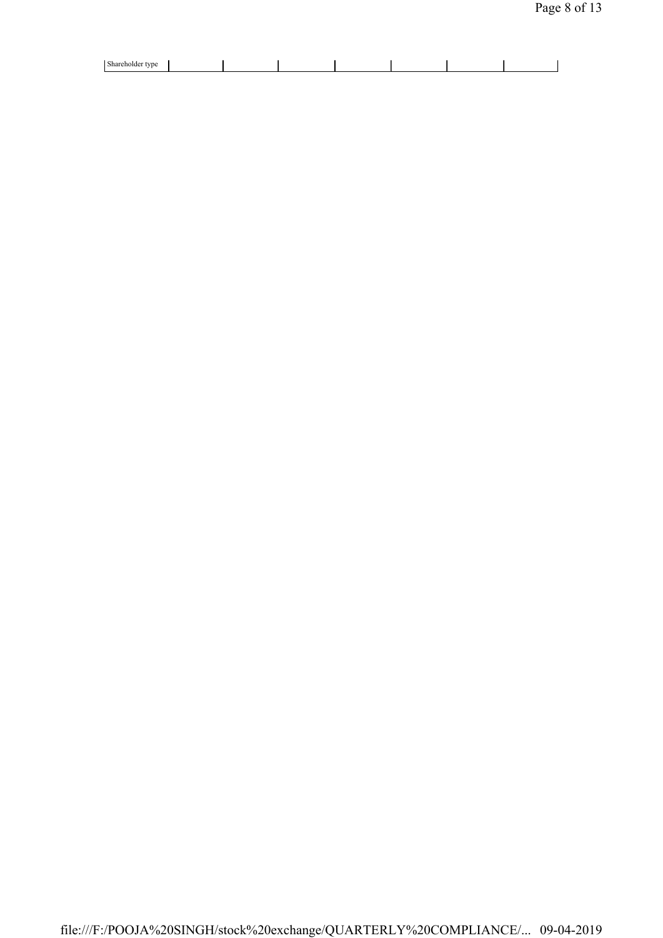| $\sim$<br>Shareholder ty<br>tvne |  |  |  |  |
|----------------------------------|--|--|--|--|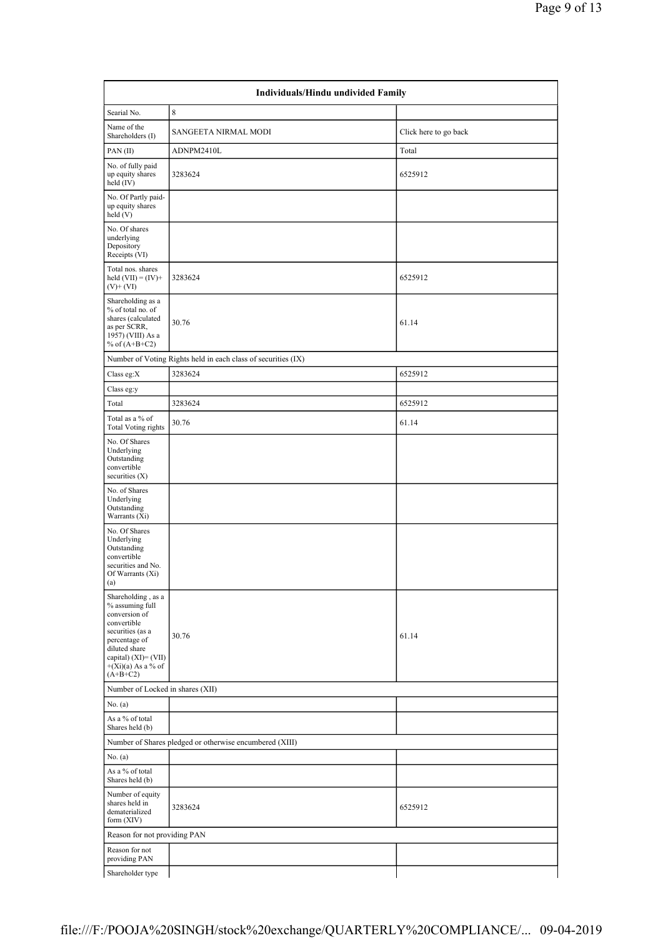|                                                                                                                                                                                           | Individuals/Hindu undivided Family                            |                       |  |  |  |  |  |  |
|-------------------------------------------------------------------------------------------------------------------------------------------------------------------------------------------|---------------------------------------------------------------|-----------------------|--|--|--|--|--|--|
| Searial No.                                                                                                                                                                               | 8                                                             |                       |  |  |  |  |  |  |
| Name of the<br>Shareholders (I)                                                                                                                                                           | SANGEETA NIRMAL MODI                                          | Click here to go back |  |  |  |  |  |  |
| PAN(II)                                                                                                                                                                                   | ADNPM2410L                                                    | Total                 |  |  |  |  |  |  |
| No. of fully paid<br>up equity shares<br>held (IV)                                                                                                                                        | 3283624                                                       | 6525912               |  |  |  |  |  |  |
| No. Of Partly paid-<br>up equity shares<br>held (V)                                                                                                                                       |                                                               |                       |  |  |  |  |  |  |
| No. Of shares<br>underlying<br>Depository<br>Receipts (VI)                                                                                                                                |                                                               |                       |  |  |  |  |  |  |
| Total nos. shares<br>held $(VII) = (IV) +$<br>$(V)$ + $(VI)$                                                                                                                              | 3283624                                                       | 6525912               |  |  |  |  |  |  |
| Shareholding as a<br>% of total no. of<br>shares (calculated<br>as per SCRR,<br>1957) (VIII) As a<br>% of $(A+B+C2)$                                                                      | 30.76                                                         | 61.14                 |  |  |  |  |  |  |
|                                                                                                                                                                                           | Number of Voting Rights held in each class of securities (IX) |                       |  |  |  |  |  |  |
| Class eg:X                                                                                                                                                                                | 3283624                                                       | 6525912               |  |  |  |  |  |  |
| Class eg:y                                                                                                                                                                                |                                                               |                       |  |  |  |  |  |  |
| Total                                                                                                                                                                                     | 3283624                                                       | 6525912               |  |  |  |  |  |  |
| Total as a % of<br><b>Total Voting rights</b>                                                                                                                                             | 30.76                                                         | 61.14                 |  |  |  |  |  |  |
| No. Of Shares<br>Underlying<br>Outstanding<br>convertible<br>securities $(X)$                                                                                                             |                                                               |                       |  |  |  |  |  |  |
| No. of Shares<br>Underlying<br>Outstanding<br>Warrants (Xi)                                                                                                                               |                                                               |                       |  |  |  |  |  |  |
| No. Of Shares<br>Underlying<br>Outstanding<br>convertible<br>securities and No.<br>Of Warrants (Xi)<br>(a)                                                                                |                                                               |                       |  |  |  |  |  |  |
| Shareholding, as a<br>% assuming full<br>conversion of<br>convertible<br>securities (as a<br>percentage of<br>diluted share<br>capital) (XI)= (VII)<br>$+(Xi)(a)$ As a % of<br>$(A+B+C2)$ | 30.76                                                         | 61.14                 |  |  |  |  |  |  |
| Number of Locked in shares (XII)                                                                                                                                                          |                                                               |                       |  |  |  |  |  |  |
| No. (a)                                                                                                                                                                                   |                                                               |                       |  |  |  |  |  |  |
| As a % of total<br>Shares held (b)                                                                                                                                                        |                                                               |                       |  |  |  |  |  |  |
|                                                                                                                                                                                           | Number of Shares pledged or otherwise encumbered (XIII)       |                       |  |  |  |  |  |  |
| No. (a)                                                                                                                                                                                   |                                                               |                       |  |  |  |  |  |  |
| As a % of total<br>Shares held (b)                                                                                                                                                        |                                                               |                       |  |  |  |  |  |  |
| Number of equity<br>shares held in<br>dematerialized<br>form (XIV)                                                                                                                        | 3283624                                                       | 6525912               |  |  |  |  |  |  |
| Reason for not providing PAN                                                                                                                                                              |                                                               |                       |  |  |  |  |  |  |
| Reason for not<br>providing PAN                                                                                                                                                           |                                                               |                       |  |  |  |  |  |  |
| Shareholder type                                                                                                                                                                          |                                                               |                       |  |  |  |  |  |  |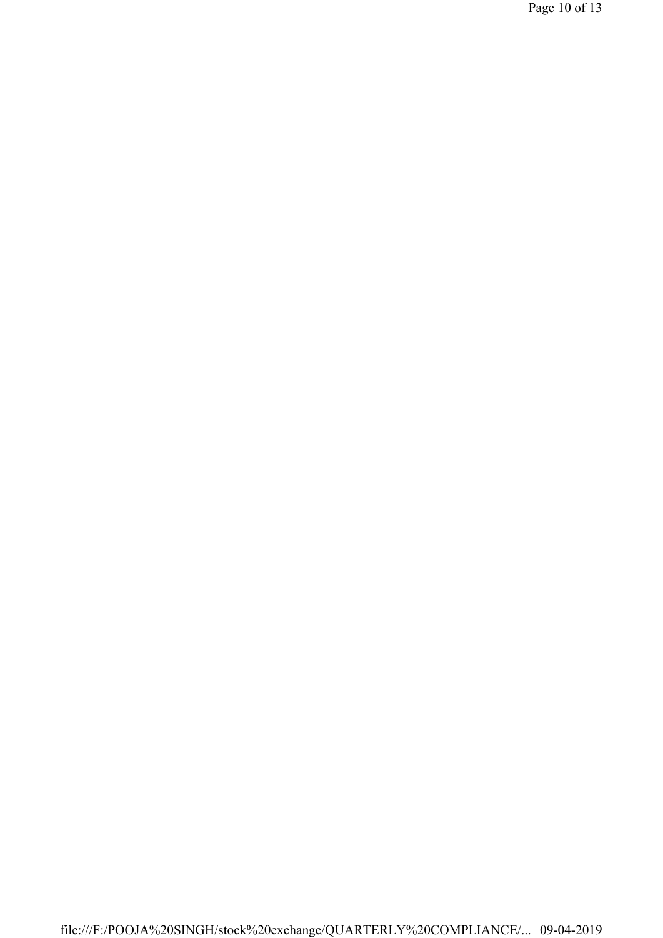Page 10 of 13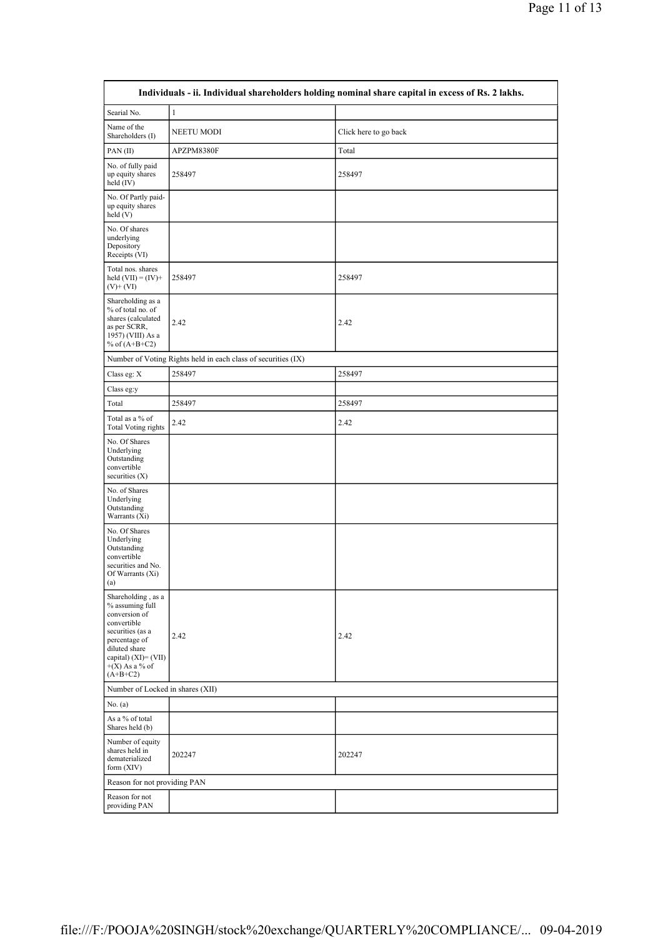|                                                                                                                                                                                          |                                                               | Individuals - ii. Individual shareholders holding nominal share capital in excess of Rs. 2 lakhs. |
|------------------------------------------------------------------------------------------------------------------------------------------------------------------------------------------|---------------------------------------------------------------|---------------------------------------------------------------------------------------------------|
| Searial No.                                                                                                                                                                              | $\mathbf{1}$                                                  |                                                                                                   |
| Name of the<br>Shareholders (I)                                                                                                                                                          | NEETU MODI                                                    | Click here to go back                                                                             |
| PAN(II)                                                                                                                                                                                  | APZPM8380F                                                    | Total                                                                                             |
| No. of fully paid<br>up equity shares<br>held (IV)                                                                                                                                       | 258497                                                        | 258497                                                                                            |
| No. Of Partly paid-<br>up equity shares<br>held(V)                                                                                                                                       |                                                               |                                                                                                   |
| No. Of shares<br>underlying<br>Depository<br>Receipts (VI)                                                                                                                               |                                                               |                                                                                                   |
| Total nos. shares<br>held $(VII) = (IV) +$<br>$(V)$ + $(VI)$                                                                                                                             | 258497                                                        | 258497                                                                                            |
| Shareholding as a<br>% of total no. of<br>shares (calculated<br>as per SCRR,<br>1957) (VIII) As a<br>% of $(A+B+C2)$                                                                     | 2.42                                                          | 2.42                                                                                              |
|                                                                                                                                                                                          | Number of Voting Rights held in each class of securities (IX) |                                                                                                   |
| Class eg: $\mathbf X$                                                                                                                                                                    | 258497                                                        | 258497                                                                                            |
| Class eg:y                                                                                                                                                                               |                                                               |                                                                                                   |
| Total                                                                                                                                                                                    | 258497                                                        | 258497                                                                                            |
| Total as a % of<br><b>Total Voting rights</b>                                                                                                                                            | 2.42                                                          | 2.42                                                                                              |
| No. Of Shares<br>Underlying<br>Outstanding<br>convertible<br>securities $(X)$                                                                                                            |                                                               |                                                                                                   |
| No. of Shares<br>Underlying<br>Outstanding<br>Warrants (Xi)                                                                                                                              |                                                               |                                                                                                   |
| No. Of Shares<br>Underlying<br>Outstanding<br>convertible<br>securities and No.<br>Of Warrants (Xi)<br>(a)                                                                               |                                                               |                                                                                                   |
| Shareholding, as a<br>% assuming full<br>conversion of<br>convertible<br>securities (as a<br>percentage of<br>diluted share<br>capital) $(XI) = (VII)$<br>$+(X)$ As a % of<br>$(A+B+C2)$ | 2.42                                                          | 2.42                                                                                              |
| Number of Locked in shares (XII)                                                                                                                                                         |                                                               |                                                                                                   |
| No. (a)                                                                                                                                                                                  |                                                               |                                                                                                   |
| As a % of total<br>Shares held (b)                                                                                                                                                       |                                                               |                                                                                                   |
| Number of equity<br>shares held in<br>dematerialized<br>form (XIV)                                                                                                                       | 202247                                                        | 202247                                                                                            |
| Reason for not providing PAN                                                                                                                                                             |                                                               |                                                                                                   |
| Reason for not<br>providing PAN                                                                                                                                                          |                                                               |                                                                                                   |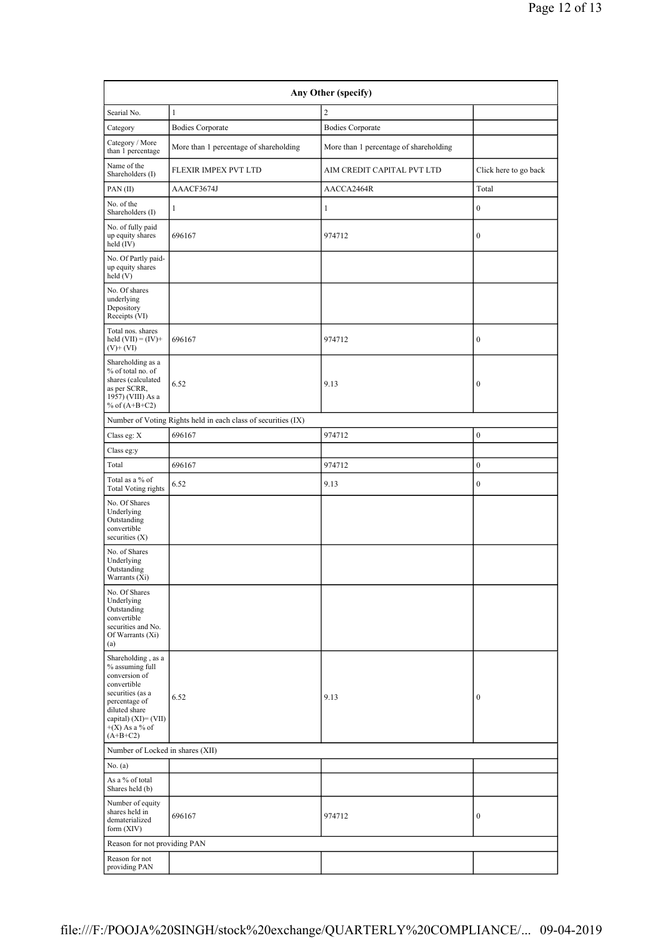|                                                                                                                                                                                       | Any Other (specify)                                           |                                        |                       |  |  |  |  |  |  |
|---------------------------------------------------------------------------------------------------------------------------------------------------------------------------------------|---------------------------------------------------------------|----------------------------------------|-----------------------|--|--|--|--|--|--|
| Searial No.                                                                                                                                                                           | $\mathbf{1}$                                                  | $\overline{2}$                         |                       |  |  |  |  |  |  |
| Category                                                                                                                                                                              | <b>Bodies Corporate</b>                                       | <b>Bodies Corporate</b>                |                       |  |  |  |  |  |  |
| Category / More<br>than 1 percentage                                                                                                                                                  | More than 1 percentage of shareholding                        | More than 1 percentage of shareholding |                       |  |  |  |  |  |  |
| Name of the<br>Shareholders (I)                                                                                                                                                       | FLEXIR IMPEX PVT LTD                                          | AIM CREDIT CAPITAL PVT LTD             | Click here to go back |  |  |  |  |  |  |
| PAN(II)                                                                                                                                                                               | AAACF3674J                                                    | AACCA2464R                             | Total                 |  |  |  |  |  |  |
| No. of the<br>Shareholders (I)                                                                                                                                                        | 1                                                             | 1                                      | $\boldsymbol{0}$      |  |  |  |  |  |  |
| No. of fully paid<br>up equity shares<br>held $(IV)$                                                                                                                                  | 696167                                                        | 974712                                 | $\boldsymbol{0}$      |  |  |  |  |  |  |
| No. Of Partly paid-<br>up equity shares<br>held(V)                                                                                                                                    |                                                               |                                        |                       |  |  |  |  |  |  |
| No. Of shares<br>underlying<br>Depository<br>Receipts (VI)                                                                                                                            |                                                               |                                        |                       |  |  |  |  |  |  |
| Total nos. shares<br>held $(VII) = (IV) +$<br>$(V)+(VI)$                                                                                                                              | 696167                                                        | 974712                                 | $\mathbf{0}$          |  |  |  |  |  |  |
| Shareholding as a<br>% of total no. of<br>shares (calculated<br>as per SCRR,<br>1957) (VIII) As a<br>% of $(A+B+C2)$                                                                  | 6.52                                                          | 9.13                                   | $\boldsymbol{0}$      |  |  |  |  |  |  |
|                                                                                                                                                                                       | Number of Voting Rights held in each class of securities (IX) |                                        |                       |  |  |  |  |  |  |
| Class eg: $\mathbf X$                                                                                                                                                                 | 696167                                                        | 974712                                 | $\bf{0}$              |  |  |  |  |  |  |
| Class eg:y                                                                                                                                                                            |                                                               |                                        |                       |  |  |  |  |  |  |
| Total                                                                                                                                                                                 | 696167                                                        | 974712                                 | $\boldsymbol{0}$      |  |  |  |  |  |  |
| Total as a % of<br><b>Total Voting rights</b>                                                                                                                                         | 6.52                                                          | 9.13                                   | $\boldsymbol{0}$      |  |  |  |  |  |  |
| No. Of Shares<br>Underlying<br>Outstanding<br>convertible<br>securities $(X)$                                                                                                         |                                                               |                                        |                       |  |  |  |  |  |  |
| No. of Shares<br>Underlying<br>Outstanding<br>Warrants (Xi)                                                                                                                           |                                                               |                                        |                       |  |  |  |  |  |  |
| No. Of Shares<br>Underlying<br>Outstanding<br>convertible<br>securities and No.<br>Of Warrants (Xi)<br>(a)                                                                            |                                                               |                                        |                       |  |  |  |  |  |  |
| Shareholding, as a<br>% assuming full<br>conversion of<br>convertible<br>securities (as a<br>percentage of<br>diluted share<br>capital) (XI)= (VII)<br>$+(X)$ As a % of<br>$(A+B+C2)$ | 6.52                                                          | 9.13                                   | $\boldsymbol{0}$      |  |  |  |  |  |  |
| Number of Locked in shares (XII)                                                                                                                                                      |                                                               |                                        |                       |  |  |  |  |  |  |
| No. (a)                                                                                                                                                                               |                                                               |                                        |                       |  |  |  |  |  |  |
| As a % of total<br>Shares held (b)                                                                                                                                                    |                                                               |                                        |                       |  |  |  |  |  |  |
| Number of equity<br>shares held in<br>dematerialized<br>form (XIV)                                                                                                                    | 696167                                                        | 974712                                 | $\boldsymbol{0}$      |  |  |  |  |  |  |
| Reason for not providing PAN                                                                                                                                                          |                                                               |                                        |                       |  |  |  |  |  |  |
| Reason for not<br>providing PAN                                                                                                                                                       |                                                               |                                        |                       |  |  |  |  |  |  |